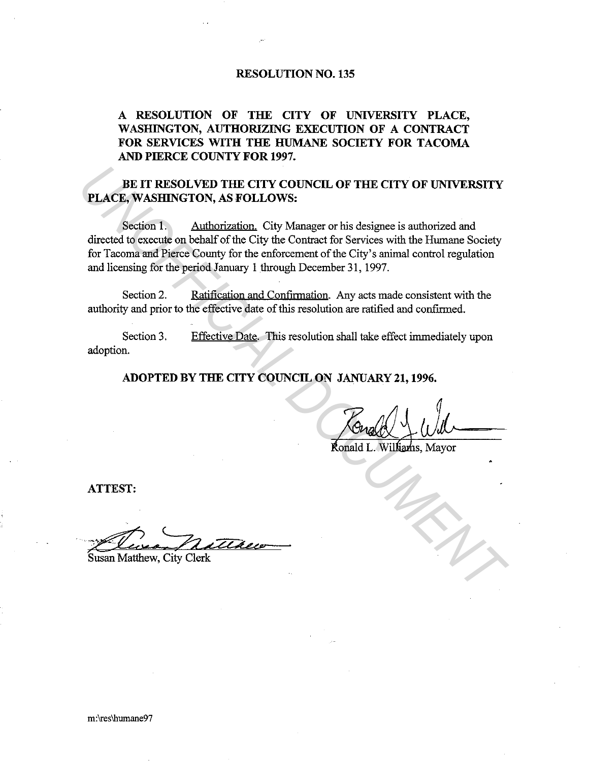## **RESOLUTION NO. 135**

## **A RESOLUTION OF THE CITY OF UNIVERSITY PLACE, WASHINGTON, AUTHORIZING EXECUTION OF A CONTRACT FOR SERVICES WITH THE HUMANE SOCIETY FOR TACOMA AND PIERCE COUNTY FOR 1997.**

## **BE IT RESOLVED THE CITY COUNCIL OF THE CITY OF UNIVERSITY PLACE, WASHINGTON, AS FOLLOWS:**

Section 1. Authorization. City Manager or his designee is authorized and directed to execute on behalf of the City the Contract for Services with the Humane Society for Tacoma and Pierce County for the enforcement of the City's animal control regulation and licensing for the period January 1 through December 31, 1997. **PLACE, WASHINGTON, AS FOLLOWS:**<br> **PLACE, WASHINGTON, AS FOLLOWS:**<br>
Section 1. Authorization, City Manager or his designee is authorized and<br>
directed to execute on behalf of the City the Contract for Services with the Hum

Section 2. Ratification and Confirmation. Any acts made consistent with the authority and prior to the effective date of this resolution are ratified and confirmed.

Section 3. adoption. Effective Date. This resolution shall take effect immediately upon

**ADOPTED BY THE CITY COUNCIL ON JANUARY 21, 1996.** 

**ATTEST:** 

Susan Matthew, City Clerk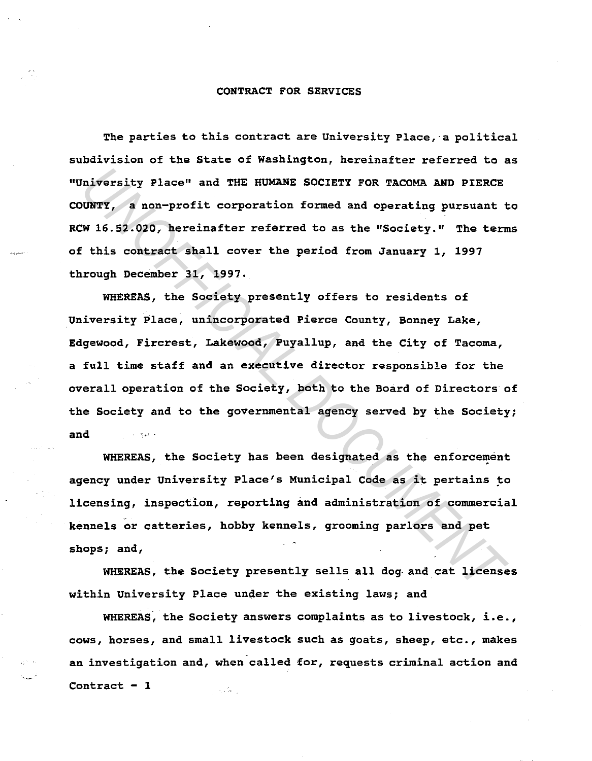## CONTRACT FOR SERVICES

The parties to this contract are University Place,· a political subdivision of the State of Washington, hereinafter referred to as "University Place" and THE HUMANE SOCIETY FOR TACOMA AND PIERCE COUNTY, a non-profit corporation formed and operating pursuant to RCW 16.52.020, hereinafter referred to as the "Society." The terms of this contract shall cover the period from January 1, 1997 through December 31, 1997.

WHEREAS, the Society presently offers to residents of University Place, unincorporated Pierce County, Bonney Lake, Edgewood, Fircrest, Lakewood, Puyallup, and the City of Tacoma, a full time staff and an executive director responsible for the overall operation of the Society, both to the Board of Directors of the Society and to the governmental agency served by the Society; and Miversity Place" and THE HUMANE SOCIETY FOR TACOMA AND PIERCE<br>UNTY, a non-profit corporation formed and operating pursuant the 16.52.020, hereinafter referred to as the "Society." The term<br>this contract shall cover the per

WHEREAS, the Society has been designated as the enforcement agency under University Place's Municipal Code as it pertains to licensing, inspection, reporting and administration of commercial kennels or catteries, hobby kennels, grooming parlors and pet shops; and,

WHEREAS, the Society presently sells all dog and cat licenses within University Place under the existing laws; and

WHEREAS, the Society answers complaints as to livestock, i.e., cows, horses, and small livestock such as goats, sheep, etc., makes an investigation and, when called for, requests criminal action and Contract  $-1$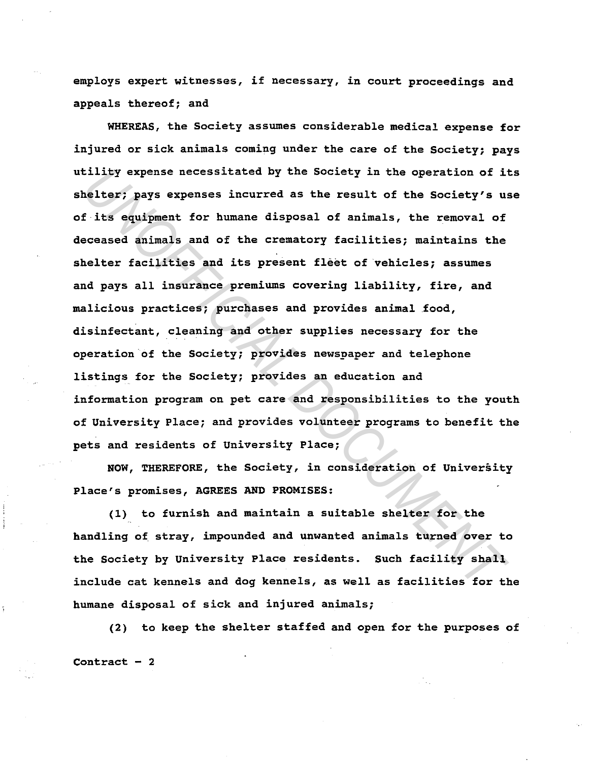employs expert witnesses, if necessary, in court proceedings and appeals thereof; and

WHEREAS, the Society assumes considerable medical expense for injured or sick animals coming under the care of the Society; pays utility expense necessitated by the Society in the operation of its shelter; pays expenses incurred as the result of the Society's use of its equipment for humane disposal of animals, the removal of deceased animals and of the crematory facilities; maintains the shelter facilities and its present fleet of vehicles; assumes and pays all insurance premiums covering liability, fire, and malicious practices; purchases and provides animal food, disinfectant, cleaning and other supplies necessary for the operation of the Society; provides newspaper and telephone listings for the Society; provides an education and information program on pet care and responsibilities to the youth of University Place; and provides volunteer programs to benefit the pets and residents of University Place; ility expense necessitated by the Society in the operation of it<br>elter; pays expenses incurred as the result of the Society's unit<br>is equipment for humane disposal of animals, the removal of<br>coased animals and of the crema

NOW, THEREFORE, the Society, in consideration of University Place's promises, AGREES AND PROMISES:

(1) to furnish and maintain a suitable shelter for the handling of stray, impounded and unwanted animals turned over to the Society by University Place residents. Such facility shall include cat kennels and dog kennels, as well as facilities for the humane disposal of sick and injured animals;

(2) to keep the shelter staffed and open for the purposes of Contract  $-2$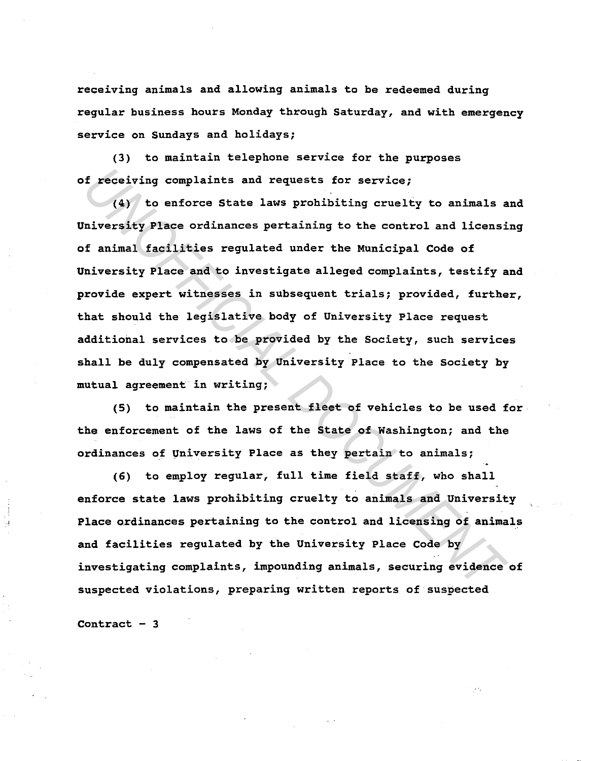receiving animals and allowing animals to be redeemed during regular business hours Monday through Saturday, and with emergency service on Sundays and holidays;

(3) to maintain telephone service for the purposes of receiving complaints and requests for service;

(4) to enforce State laws prohibiting cruelty to animals and University Place ordinances pertaining to the control and licensing of animal facilities regulated under the Municipal Code of University Place and to investigate alleged complaints, testify and provide expert witnesses in subsequent trials; provided, further, that should the legislative body of University Place request additional services to be provided by the Society, such services shall be duly compensated by University Place to the Society by mutual agreement in writing; *I* receiving complaints and requests for service;<br>
(4) to enforce State laws prohibiting cruelty to animals a<br>
niversity Place ordinances pertaining to the control and licensi<br>
f animal facilities regulated under the Muni

(5) to maintain the present fleet of vehicles to be used for the enforcement of the laws of the State of Washington; and the ordinances of University Place as they pertain to animals;

(6) to employ regular, full time field staff, who shall enforce state laws prohibiting cruelty to animals and University Place ordinances pertaining to the control and licensing of animals and facilities regulated by the University Place Code by investigating complaints, impounding animals, securing evidence of suspected violations, preparing written reports of suspected

Contract  $-3$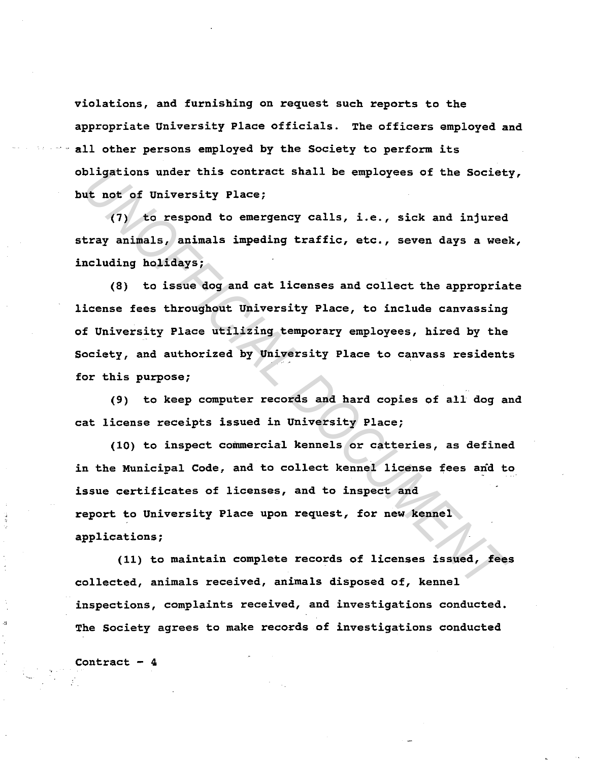violations, and furnishing on request such reports to the appropriate University Place officials. The officers employed and all other persons employed by the Society to perform its obligations under this contract shall be employees of the Society, but not of University Place;

(7) to respond to emergency calls, i.e., sick and injured stray animals, animals impeding traffic, etc., seven days a week, including holidays;

(8) to issue dog and cat licenses and collect the appropriate license fees throughout University Place, to include canvassing of University Place utilizing temporary employees, hired by the Society, and authorized by University Place to canvass residents for this purpose; bligations under this contract shall be employees of the Societ<br> **Ut not of University Place;**<br>
(7) to respond to emergency calls, i.e., sick and injured<br>
tray animals, animals impeding traffic, etc., seven days a wee<br>
mol

(9) to keep computer records and hard copies of all dog and cat license receipts issued in University Place;

 $(10)$  to inspect commercial kennels or catteries, as defined in the Municipal Code, and to collect kennel license fees and to issue certificates of licenses, and to inspect and report to University Place upon request, for new kennel applications;

(11) to maintain complete records of licenses issued, fees collected, animals received, animals disposed of, kennel inspections, complaints received, and investigations conducted. The Society agrees to make records of investigations conducted

Contract  $-4$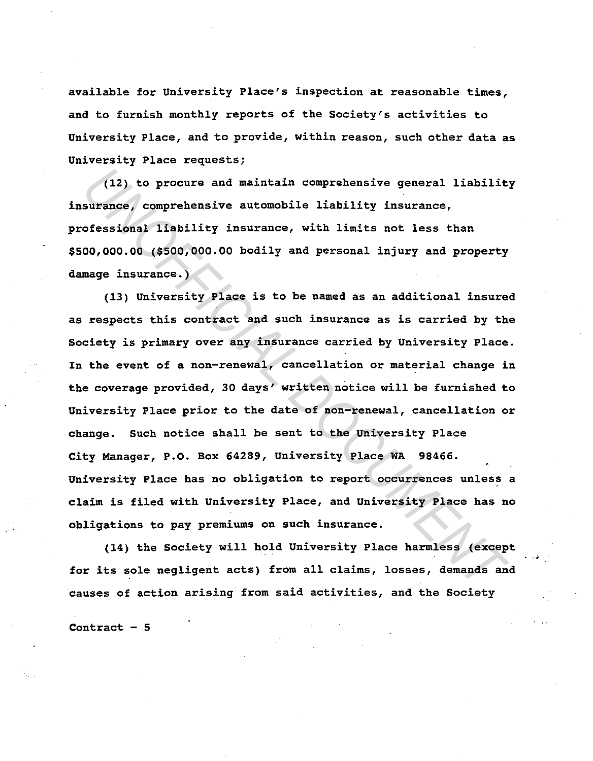available for University Place's inspection at reasonable times, and to furnish monthly reports of the Society's activities to University Place, and to provide, within reason, such other data as University Place requests;

(12) to procure and maintain comprehensive general liability insurance, comprehensive automobile liability insurance, professional liability insurance, with limits not less than \$500,000.00 (\$500,000.00 bodily and personal injury and property damage insurance.)

(13) University Place is to be named as an additional insured as respects this contract and such insurance as is carried by the Society is primary over any insurance carried by University Place. In the event of a non-renewal, cancellation or material change in the coverage provided, 30 days' written notice will be furnished to University Place prior to the date of non-renewal, cancellation or change. Such notice shall be sent to the University Place City Manager, P.O. Box 64289, University Place WA 98466. University Place has no obligation to report occurrences unless a claim is filed with University Place, and University Place has no obligations to pay premiums on such insurance. (12) to procure and maintain comprehensive general liability<br>surance, comprehensive automobile liability insurance,<br>ofessional liability insurance, with limits not less than<br>00,000.00 (\$500,000.00 bodily and personal injur

(14) the Society will hold University Place harmless (except for its sole negligent acts) from all claims, losses, demands and causes of action arising from said activities, and the Society

Contract  $-5$